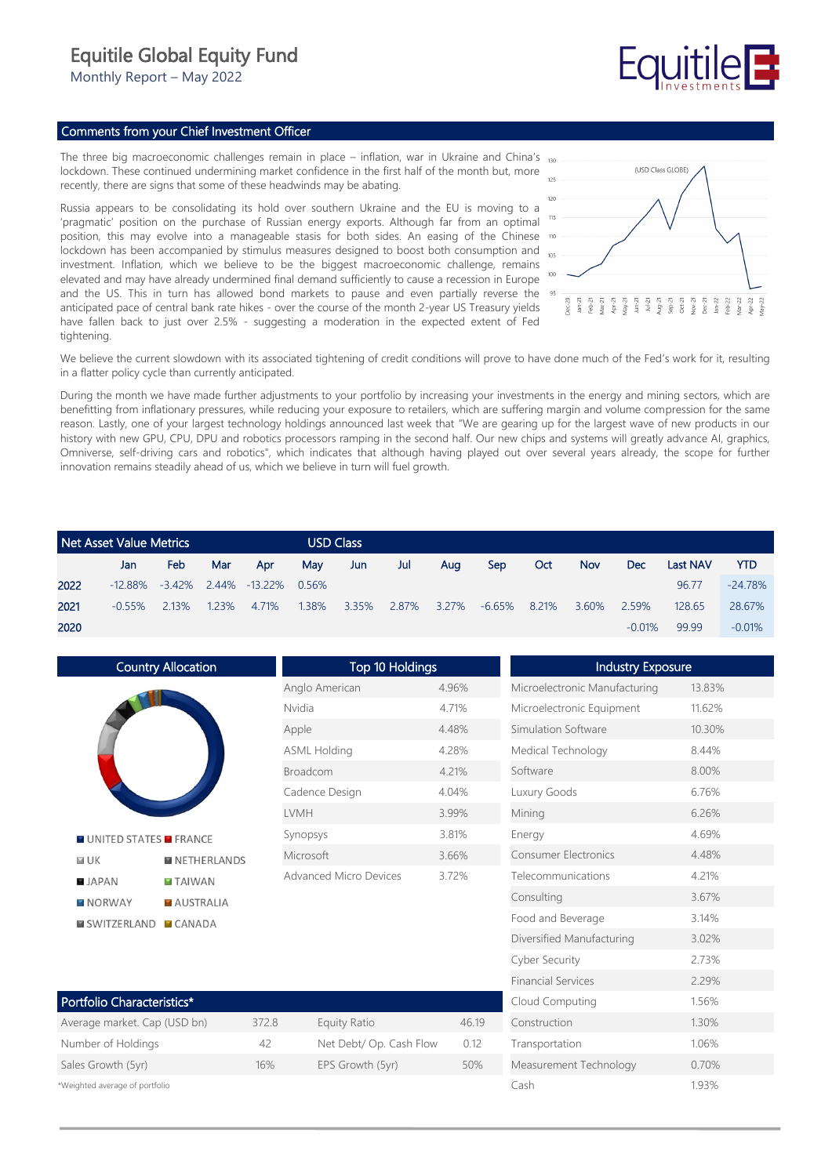## Equitile Global Equity Fund

Monthly Report – May 2022

# Fauitile

### Comments from your Chief Investment Officer

The three big macroeconomic challenges remain in place – inflation, war in Ukraine and China's lockdown. These continued undermining market confidence in the first half of the month but, more recently, there are signs that some of these headwinds may be abating.

Russia appears to be consolidating its hold over southern Ukraine and the EU is moving to a 'pragmatic' position on the purchase of Russian energy exports. Although far from an optimal position, this may evolve into a manageable stasis for both sides. An easing of the Chinese 100 lockdown has been accompanied by stimulus measures designed to boost both consumption and investment. Inflation, which we believe to be the biggest macroeconomic challenge, remains elevated and may have already undermined final demand sufficiently to cause a recession in Europe and the US. This in turn has allowed bond markets to pause and even partially reverse the anticipated pace of central bank rate hikes - over the course of the month 2-year US Treasury yields have fallen back to just over 2.5% - suggesting a moderation in the expected extent of Fed tightening.



We believe the current slowdown with its associated tightening of credit conditions will prove to have done much of the Fed's work for it, resulting in a flatter policy cycle than currently anticipated.

During the month we have made further adjustments to your portfolio by increasing your investments in the energy and mining sectors, which are benefitting from inflationary pressures, while reducing your exposure to retailers, which are suffering margin and volume compression for the same reason. Lastly, one of your largest technology holdings announced last week that "We are gearing up for the largest wave of new products in our history with new GPU, CPU, DPU and robotics processors ramping in the second half. Our new chips and systems will greatly advance AI, graphics, Omniverse, self-driving cars and robotics", which indicates that although having played out over several years already, the scope for further innovation remains steadily ahead of us, which we believe in turn will fuel growth.

|      | Net Asset Value Metrics |            |       |                            |       | <b>USD Class</b> |       |       |            |       |            |          |                 |            |
|------|-------------------------|------------|-------|----------------------------|-------|------------------|-------|-------|------------|-------|------------|----------|-----------------|------------|
|      | Jan.                    | <b>Feb</b> | Mar   | Apr                        | Mav   | Jun              | Jul   | Aua   | <b>Sep</b> | Oct   | <b>Nov</b> | Dec      | <b>Last NAV</b> | <b>YTD</b> |
| 2022 | $-12.88\%$              |            |       | $-3.42\%$ 2.44% $-13.22\%$ | 0.56% |                  |       |       |            |       |            |          | 96.77           | $-24.78%$  |
| 2021 | $-0.55%$                | 2.13%      | 1.23% | 4.71%                      | 1.38% | 3.35%            | 2.87% | 3.27% | $-6.65%$   | 8.21% | 3.60%      | 2.59%    | 128.65          | 28.67%     |
| 2020 |                         |            |       |                            |       |                  |       |       |            |       |            | $-0.01%$ | 99.99           | $-0.01%$   |

Country Allocation Top 10 Holdings Industry Exposure Microelectronic Manufacturing 13.83% Anglo American 4.96% Nvidia 4.71% Microelectronic Equipment 11.62% Apple 4.48% Simulation Software 10.30% ASML Holding 4.28% Medical Technology 8.44% Broadcom 4.21% Software 8.00% Cadence Design 4.04% Luxury Goods 6.76% LVMH 3.99% Mining 6.26% Synopsys 3.81% Energy 4.69% **N** UNITED STATES **N** FRANCE Microsoft 3.66% Consumer Electronics 4.48%  $M IJK$ **NETHERLANDS** Advanced Micro Devices 3.72% Telecommunications 4.21% **B** JAPAN **TAIWAN** Consulting 3.67% **NORWAY AUSTRALIA** Food and Beverage 3.14% **EI SWITZERLAND FICANADA** Diversified Manufacturing 3.02% Cyber Security 2.73%

| Portfolio Characteristics*     |       |                         |       |  |  |  |
|--------------------------------|-------|-------------------------|-------|--|--|--|
| Average market. Cap (USD bn)   | 372.8 | Equity Ratio            | 46.19 |  |  |  |
| Number of Holdings             | 42    | Net Debt/ Op. Cash Flow | 012   |  |  |  |
| Sales Growth (5yr)             | 16%   | EPS Growth (5yr)        | 50%   |  |  |  |
| *Weighted average of portfolio |       |                         |       |  |  |  |

| Microelectronic Equipment   | 11.62% |
|-----------------------------|--------|
| Simulation Software         | 10.30% |
| Medical Technology          | 8.44%  |
| Software                    | 8.00%  |
| Luxury Goods                | 6.76%  |
| Mining                      | 6.26%  |
| Energy                      | 4.69%  |
| <b>Consumer Electronics</b> | 4.48%  |
| Telecommunications          | 4.21%  |
| Consulting                  | 3.67%  |
| Food and Beverage           | 3.14%  |
| Diversified Manufacturing   | 3.02%  |
| Cyber Security              | 2.73%  |
| <b>Financial Services</b>   | 2.29%  |
| Cloud Computing             | 1.56%  |
| Construction                | 1.30%  |
| Transportation              | 1.06%  |
| Measurement Technology      | 0.70%  |
| Cash                        | 1.93%  |